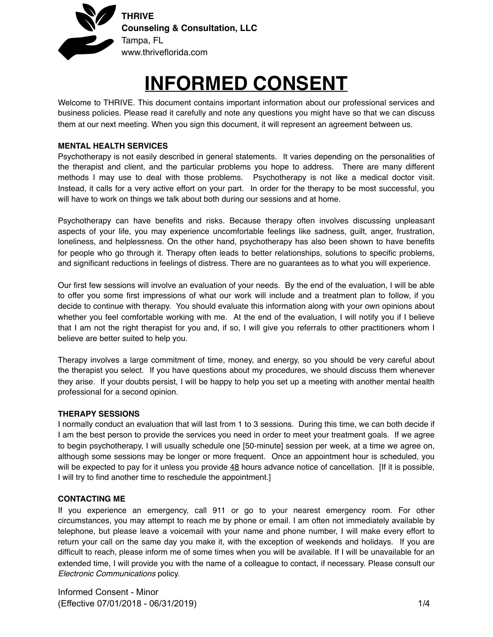

# **INFORMED CONSENT**

Welcome to THRIVE. This document contains important information about our professional services and business policies. Please read it carefully and note any questions you might have so that we can discuss them at our next meeting. When you sign this document, it will represent an agreement between us.

# **MENTAL HEALTH SERVICES**

Psychotherapy is not easily described in general statements. It varies depending on the personalities of the therapist and client, and the particular problems you hope to address. There are many different methods I may use to deal with those problems. Psychotherapy is not like a medical doctor visit. Instead, it calls for a very active effort on your part. In order for the therapy to be most successful, you will have to work on things we talk about both during our sessions and at home.

Psychotherapy can have benefits and risks. Because therapy often involves discussing unpleasant aspects of your life, you may experience uncomfortable feelings like sadness, guilt, anger, frustration, loneliness, and helplessness. On the other hand, psychotherapy has also been shown to have benefits for people who go through it. Therapy often leads to better relationships, solutions to specific problems, and significant reductions in feelings of distress. There are no guarantees as to what you will experience.

Our first few sessions will involve an evaluation of your needs. By the end of the evaluation, I will be able to offer you some first impressions of what our work will include and a treatment plan to follow, if you decide to continue with therapy. You should evaluate this information along with your own opinions about whether you feel comfortable working with me. At the end of the evaluation, I will notify you if I believe that I am not the right therapist for you and, if so, I will give you referrals to other practitioners whom I believe are better suited to help you.

Therapy involves a large commitment of time, money, and energy, so you should be very careful about the therapist you select. If you have questions about my procedures, we should discuss them whenever they arise. If your doubts persist, I will be happy to help you set up a meeting with another mental health professional for a second opinion.

# **THERAPY SESSIONS**

I normally conduct an evaluation that will last from 1 to 3 sessions. During this time, we can both decide if I am the best person to provide the services you need in order to meet your treatment goals. If we agree to begin psychotherapy, I will usually schedule one [50-minute] session per week, at a time we agree on, although some sessions may be longer or more frequent. Once an appointment hour is scheduled, you will be expected to pay for it unless you provide 48 hours advance notice of cancellation. [If it is possible, I will try to find another time to reschedule the appointment.]

# **CONTACTING ME**

If you experience an emergency, call 911 or go to your nearest emergency room. For other circumstances, you may attempt to reach me by phone or email. I am often not immediately available by telephone, but please leave a voicemail with your name and phone number, I will make every effort to return your call on the same day you make it, with the exception of weekends and holidays. If you are difficult to reach, please inform me of some times when you will be available. If I will be unavailable for an extended time, I will provide you with the name of a colleague to contact, if necessary. Please consult our *Electronic Communications* policy.

Informed Consent - Minor (Effective 07/01/2018 - 06/31/2019) 1/4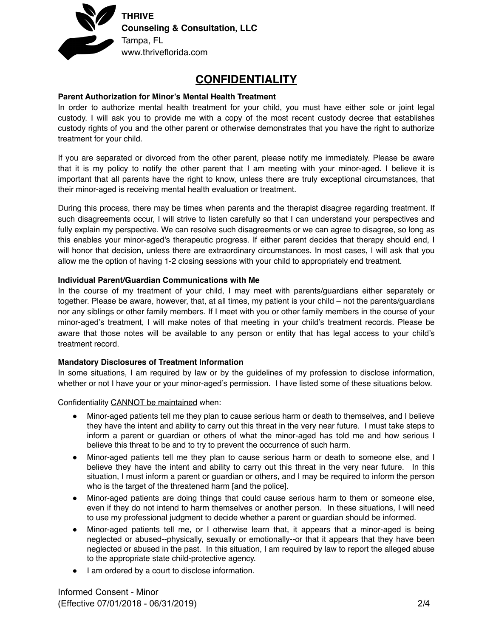

# **CONFIDENTIALITY**

#### **Parent Authorization for Minor's Mental Health Treatment**

In order to authorize mental health treatment for your child, you must have either sole or joint legal custody. I will ask you to provide me with a copy of the most recent custody decree that establishes custody rights of you and the other parent or otherwise demonstrates that you have the right to authorize treatment for your child.

If you are separated or divorced from the other parent, please notify me immediately. Please be aware that it is my policy to notify the other parent that I am meeting with your minor-aged. I believe it is important that all parents have the right to know, unless there are truly exceptional circumstances, that their minor-aged is receiving mental health evaluation or treatment.

During this process, there may be times when parents and the therapist disagree regarding treatment. If such disagreements occur, I will strive to listen carefully so that I can understand your perspectives and fully explain my perspective. We can resolve such disagreements or we can agree to disagree, so long as this enables your minor-aged's therapeutic progress. If either parent decides that therapy should end, I will honor that decision, unless there are extraordinary circumstances. In most cases, I will ask that you allow me the option of having 1-2 closing sessions with your child to appropriately end treatment.

#### **Individual Parent/Guardian Communications with Me**

In the course of my treatment of your child, I may meet with parents/guardians either separately or together. Please be aware, however, that, at all times, my patient is your child – not the parents/guardians nor any siblings or other family members. If I meet with you or other family members in the course of your minor-aged's treatment, I will make notes of that meeting in your child's treatment records. Please be aware that those notes will be available to any person or entity that has legal access to your child's treatment record.

# **Mandatory Disclosures of Treatment Information**

In some situations, I am required by law or by the guidelines of my profession to disclose information, whether or not I have your or your minor-aged's permission. I have listed some of these situations below.

Confidentiality CANNOT be maintained when:

- ! Minor-aged patients tell me they plan to cause serious harm or death to themselves, and I believe they have the intent and ability to carry out this threat in the very near future. I must take steps to inform a parent or guardian or others of what the minor-aged has told me and how serious I believe this threat to be and to try to prevent the occurrence of such harm.
- ! Minor-aged patients tell me they plan to cause serious harm or death to someone else, and I believe they have the intent and ability to carry out this threat in the very near future. In this situation, I must inform a parent or guardian or others, and I may be required to inform the person who is the target of the threatened harm [and the police].
- ! Minor-aged patients are doing things that could cause serious harm to them or someone else, even if they do not intend to harm themselves or another person. In these situations, I will need to use my professional judgment to decide whether a parent or guardian should be informed.
- Minor-aged patients tell me, or I otherwise learn that, it appears that a minor-aged is being neglected or abused--physically, sexually or emotionally--or that it appears that they have been neglected or abused in the past. In this situation, I am required by law to report the alleged abuse to the appropriate state child-protective agency.
- $\bullet$  I am ordered by a court to disclose information.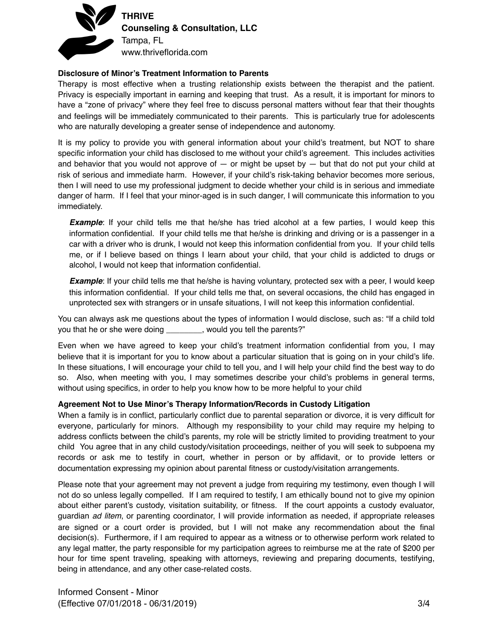

**THRIVE Counseling & Consultation, LLC** Tampa, FL www.thriveflorida.com

# **Disclosure of Minor's Treatment Information to Parents**

Therapy is most effective when a trusting relationship exists between the therapist and the patient. Privacy is especially important in earning and keeping that trust. As a result, it is important for minors to have a "zone of privacy" where they feel free to discuss personal matters without fear that their thoughts and feelings will be immediately communicated to their parents. This is particularly true for adolescents who are naturally developing a greater sense of independence and autonomy.

It is my policy to provide you with general information about your child's treatment, but NOT to share specific information your child has disclosed to me without your child's agreement. This includes activities and behavior that you would not approve of  $-$  or might be upset by  $-$  but that do not put your child at risk of serious and immediate harm. However, if your child's risk-taking behavior becomes more serious, then I will need to use my professional judgment to decide whether your child is in serious and immediate danger of harm. If I feel that your minor-aged is in such danger, I will communicate this information to you immediately.

**Example**: If your child tells me that he/she has tried alcohol at a few parties, I would keep this information confidential. If your child tells me that he/she is drinking and driving or is a passenger in a car with a driver who is drunk, I would not keep this information confidential from you. If your child tells me, or if I believe based on things I learn about your child, that your child is addicted to drugs or alcohol, I would not keep that information confidential.

*Example*: If your child tells me that he/she is having voluntary, protected sex with a peer, I would keep this information confidential. If your child tells me that, on several occasions, the child has engaged in unprotected sex with strangers or in unsafe situations, I will not keep this information confidential.

You can always ask me questions about the types of information I would disclose, such as: "If a child told you that he or she were doing \_\_\_\_\_\_\_, would you tell the parents?"

Even when we have agreed to keep your child's treatment information confidential from you, I may believe that it is important for you to know about a particular situation that is going on in your child's life. In these situations, I will encourage your child to tell you, and I will help your child find the best way to do so. Also, when meeting with you, I may sometimes describe your child's problems in general terms, without using specifics, in order to help you know how to be more helpful to your child

# **Agreement Not to Use Minor's Therapy Information/Records in Custody Litigation**

When a family is in conflict, particularly conflict due to parental separation or divorce, it is very difficult for everyone, particularly for minors. Although my responsibility to your child may require my helping to address conflicts between the child's parents, my role will be strictly limited to providing treatment to your child You agree that in any child custody/visitation proceedings, neither of you will seek to subpoena my records or ask me to testify in court, whether in person or by affidavit, or to provide letters or documentation expressing my opinion about parental fitness or custody/visitation arrangements.

Please note that your agreement may not prevent a judge from requiring my testimony, even though I will not do so unless legally compelled. If I am required to testify, I am ethically bound not to give my opinion about either parent's custody, visitation suitability, or fitness. If the court appoints a custody evaluator, guardian *ad litem*, or parenting coordinator, I will provide information as needed, if appropriate releases are signed or a court order is provided, but I will not make any recommendation about the final decision(s). Furthermore, if I am required to appear as a witness or to otherwise perform work related to any legal matter, the party responsible for my participation agrees to reimburse me at the rate of \$200 per hour for time spent traveling, speaking with attorneys, reviewing and preparing documents, testifying, being in attendance, and any other case-related costs.